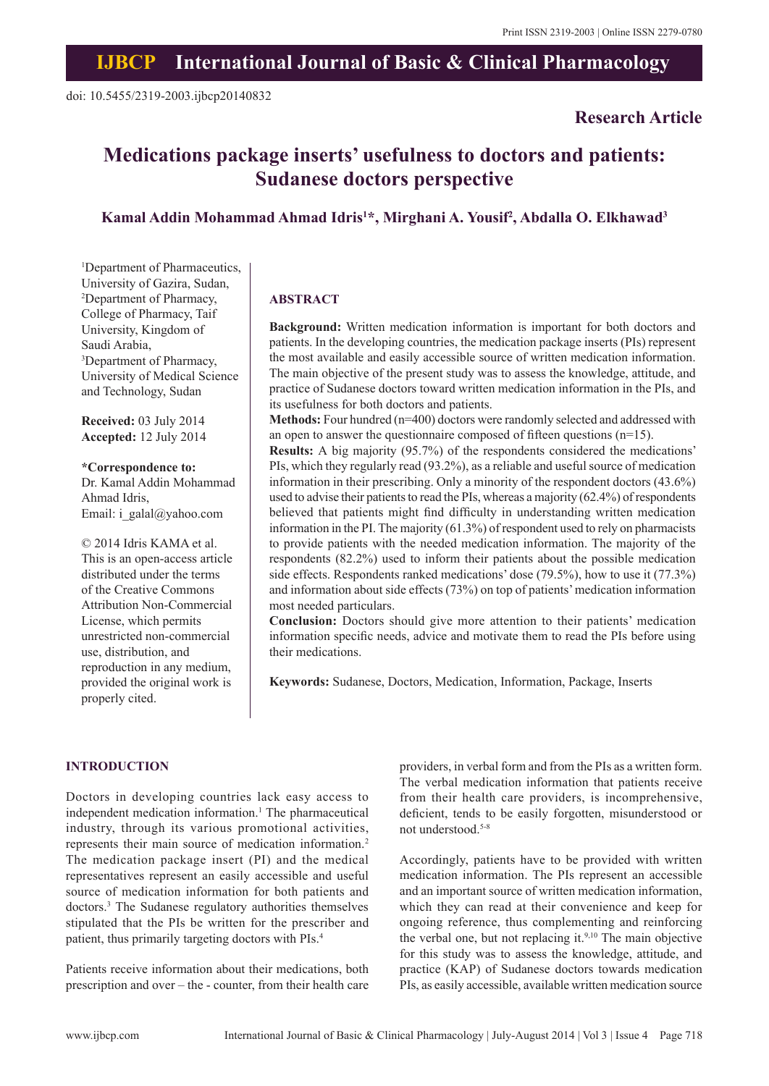## **IJBCP International Journal of Basic & Clinical Pharmacology**

## **Research Article**

# **Medications package inserts' usefulness to doctors and patients: Sudanese doctors perspective**

## **Kamal Addin Mohammad Ahmad Idris1 \*, Mirghani A. Yousif2 , Abdalla O. Elkhawad3**

1 Department of Pharmaceutics, University of Gazira, Sudan, 2 Department of Pharmacy, College of Pharmacy, Taif University, Kingdom of Saudi Arabia, 3 Department of Pharmacy, University of Medical Science and Technology, Sudan

**Received:** 03 July 2014 **Accepted:** 12 July 2014

**\*Correspondence to:** Dr. Kamal Addin Mohammad Ahmad Idris, Email: i\_galal@yahoo.com

© 2014 Idris KAMA et al. This is an open-access article distributed under the terms of the Creative Commons Attribution Non-Commercial License, which permits unrestricted non-commercial use, distribution, and reproduction in any medium, provided the original work is properly cited.

#### **ABSTRACT**

**Background:** Written medication information is important for both doctors and patients. In the developing countries, the medication package inserts (PIs) represent the most available and easily accessible source of written medication information. The main objective of the present study was to assess the knowledge, attitude, and practice of Sudanese doctors toward written medication information in the PIs, and its usefulness for both doctors and patients.

**Methods:** Four hundred (n=400) doctors were randomly selected and addressed with an open to answer the questionnaire composed of fifteen questions (n=15).

**Results:** A big majority (95.7%) of the respondents considered the medications' PIs, which they regularly read (93.2%), as a reliable and useful source of medication information in their prescribing. Only a minority of the respondent doctors (43.6%) used to advise their patients to read the PIs, whereas a majority (62.4%) of respondents believed that patients might find difficulty in understanding written medication information in the PI. The majority (61.3%) of respondent used to rely on pharmacists to provide patients with the needed medication information. The majority of the respondents (82.2%) used to inform their patients about the possible medication side effects. Respondents ranked medications' dose (79.5%), how to use it (77.3%) and information about side effects (73%) on top of patients' medication information most needed particulars.

**Conclusion:** Doctors should give more attention to their patients' medication information specific needs, advice and motivate them to read the PIs before using their medications.

**Keywords:** Sudanese, Doctors, Medication, Information, Package, Inserts

#### **INTRODUCTION**

Doctors in developing countries lack easy access to independent medication information.<sup>1</sup> The pharmaceutical industry, through its various promotional activities, represents their main source of medication information.2 The medication package insert (PI) and the medical representatives represent an easily accessible and useful source of medication information for both patients and doctors.3 The Sudanese regulatory authorities themselves stipulated that the PIs be written for the prescriber and patient, thus primarily targeting doctors with PIs.4

Patients receive information about their medications, both prescription and over – the - counter, from their health care providers, in verbal form and from the PIs as a written form. The verbal medication information that patients receive from their health care providers, is incomprehensive, deficient, tends to be easily forgotten, misunderstood or not understood.5-8

Accordingly, patients have to be provided with written medication information. The PIs represent an accessible and an important source of written medication information, which they can read at their convenience and keep for ongoing reference, thus complementing and reinforcing the verbal one, but not replacing it. $9,10$  The main objective for this study was to assess the knowledge, attitude, and practice (KAP) of Sudanese doctors towards medication PIs, as easily accessible, available written medication source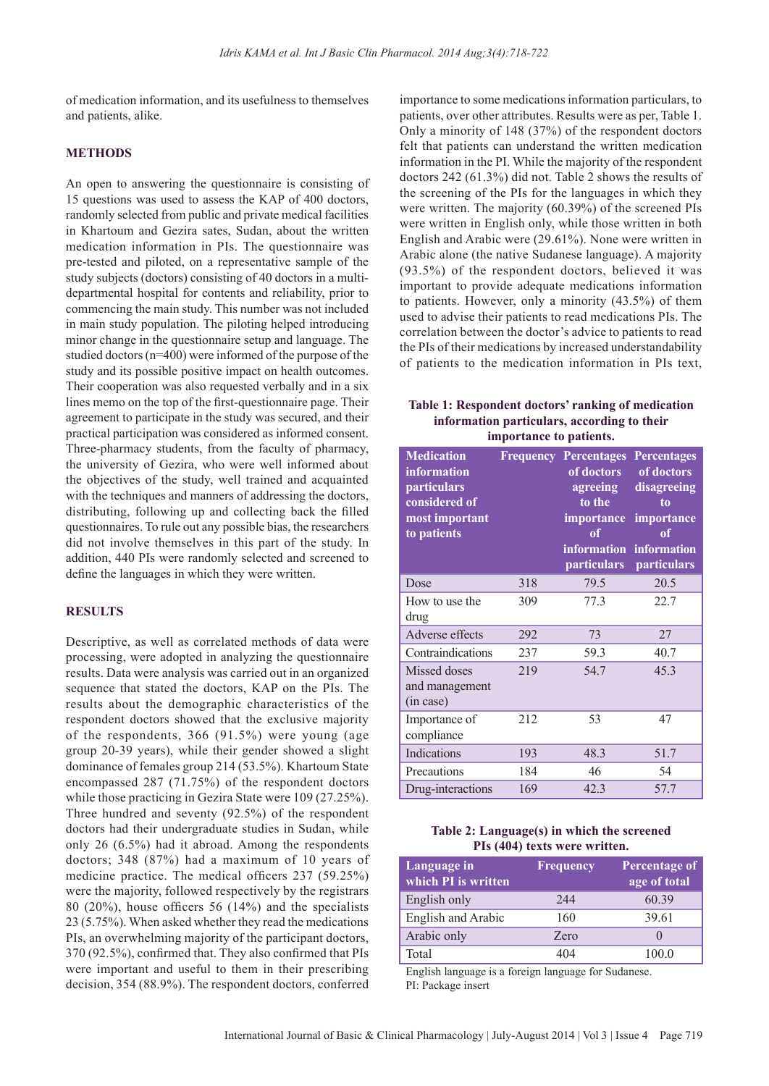of medication information, and its usefulness to themselves and patients, alike.

#### **METHODS**

An open to answering the questionnaire is consisting of 15 questions was used to assess the KAP of 400 doctors, randomly selected from public and private medical facilities in Khartoum and Gezira sates, Sudan, about the written medication information in PIs. The questionnaire was pre-tested and piloted, on a representative sample of the study subjects (doctors) consisting of 40 doctors in a multidepartmental hospital for contents and reliability, prior to commencing the main study. This number was not included in main study population. The piloting helped introducing minor change in the questionnaire setup and language. The studied doctors (n=400) were informed of the purpose of the study and its possible positive impact on health outcomes. Their cooperation was also requested verbally and in a six lines memo on the top of the first-questionnaire page. Their agreement to participate in the study was secured, and their practical participation was considered as informed consent. Three-pharmacy students, from the faculty of pharmacy, the university of Gezira, who were well informed about the objectives of the study, well trained and acquainted with the techniques and manners of addressing the doctors, distributing, following up and collecting back the filled questionnaires. To rule out any possible bias, the researchers did not involve themselves in this part of the study. In addition, 440 PIs were randomly selected and screened to define the languages in which they were written.

#### **RESULTS**

Descriptive, as well as correlated methods of data were processing, were adopted in analyzing the questionnaire results. Data were analysis was carried out in an organized sequence that stated the doctors, KAP on the PIs. The results about the demographic characteristics of the respondent doctors showed that the exclusive majority of the respondents, 366 (91.5%) were young (age group 20-39 years), while their gender showed a slight dominance of females group 214 (53.5%). Khartoum State encompassed 287 (71.75%) of the respondent doctors while those practicing in Gezira State were 109 (27.25%). Three hundred and seventy (92.5%) of the respondent doctors had their undergraduate studies in Sudan, while only 26 (6.5%) had it abroad. Among the respondents doctors; 348 (87%) had a maximum of 10 years of medicine practice. The medical officers 237 (59.25%) were the majority, followed respectively by the registrars 80 (20%), house officers 56 (14%) and the specialists 23 (5.75%). When asked whether they read the medications PIs, an overwhelming majority of the participant doctors, 370 (92.5%), confirmed that. They also confirmed that PIs were important and useful to them in their prescribing decision, 354 (88.9%). The respondent doctors, conferred importance to some medications information particulars, to patients, over other attributes. Results were as per, Table 1. Only a minority of 148 (37%) of the respondent doctors felt that patients can understand the written medication information in the PI. While the majority of the respondent doctors 242 (61.3%) did not. Table 2 shows the results of the screening of the PIs for the languages in which they were written. The majority (60.39%) of the screened PIs were written in English only, while those written in both English and Arabic were (29.61%). None were written in Arabic alone (the native Sudanese language). A majority (93.5%) of the respondent doctors, believed it was important to provide adequate medications information to patients. However, only a minority (43.5%) of them used to advise their patients to read medications PIs. The correlation between the doctor's advice to patients to read the PIs of their medications by increased understandability of patients to the medication information in PIs text,

**Table 1: Respondent doctors' ranking of medication information particulars, according to their importance to patients.**

| <b>Medication</b><br>information<br><i>particulars</i><br>considered of<br>most important<br>to patients |     | <b>Frequency Percentages</b><br>of doctors<br>agreeing<br>to the<br>importance<br>of<br><b>information</b><br><b>particulars</b> | <b>Percentages</b><br>of doctors<br>disagreeing<br>to<br>importance<br>$\overline{\textbf{0}}\textbf{f}$<br>information<br>particulars |
|----------------------------------------------------------------------------------------------------------|-----|----------------------------------------------------------------------------------------------------------------------------------|----------------------------------------------------------------------------------------------------------------------------------------|
| Dose                                                                                                     | 318 | 79.5                                                                                                                             | 20.5                                                                                                                                   |
| How to use the<br>drug                                                                                   | 309 | 77.3                                                                                                                             | 22.7                                                                                                                                   |
| Adverse effects                                                                                          | 292 | 73                                                                                                                               | 27                                                                                                                                     |
| Contraindications                                                                                        | 237 | 59.3                                                                                                                             | 40.7                                                                                                                                   |
| Missed doses<br>and management<br>(in case)                                                              | 219 | 54.7                                                                                                                             | 45.3                                                                                                                                   |
| Importance of<br>compliance                                                                              | 212 | 53                                                                                                                               | 47                                                                                                                                     |
| Indications                                                                                              | 193 | 48.3                                                                                                                             | 51.7                                                                                                                                   |
| Precautions                                                                                              | 184 | 46                                                                                                                               | 54                                                                                                                                     |
| Drug-interactions                                                                                        | 169 | 42.3                                                                                                                             | 57.7                                                                                                                                   |

| Table 2: Language(s) in which the screened |
|--------------------------------------------|
| PIs (404) texts were written.              |

| Language in<br>which PI is written | <b>Frequency</b> | Percentage of<br>age of total |
|------------------------------------|------------------|-------------------------------|
| English only                       | 244              | 60.39                         |
| English and Arabic                 | 160              | 39.61                         |
| Arabic only                        | Zero             |                               |
| Total                              | 404              | 100 0                         |

English language is a foreign language for Sudanese. PI: Package insert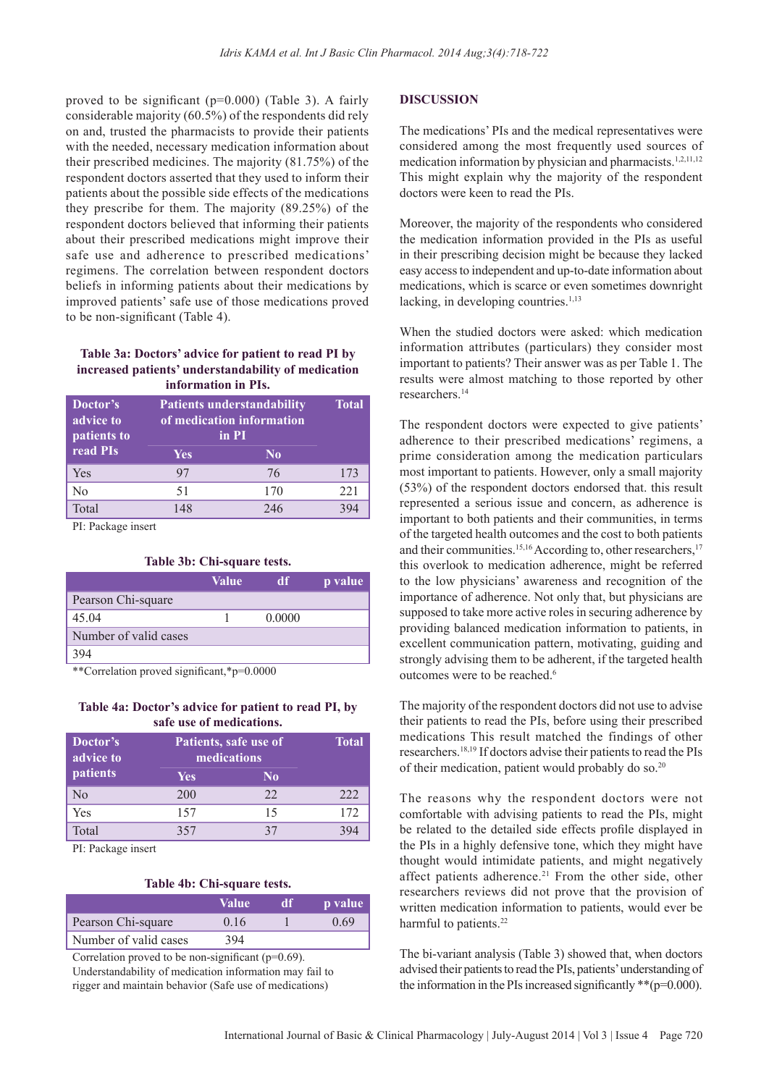proved to be significant (p=0.000) (Table 3). A fairly considerable majority (60.5%) of the respondents did rely on and, trusted the pharmacists to provide their patients with the needed, necessary medication information about their prescribed medicines. The majority (81.75%) of the respondent doctors asserted that they used to inform their patients about the possible side effects of the medications they prescribe for them. The majority (89.25%) of the respondent doctors believed that informing their patients about their prescribed medications might improve their safe use and adherence to prescribed medications' regimens. The correlation between respondent doctors beliefs in informing patients about their medications by improved patients' safe use of those medications proved to be non-significant (Table 4).

## **Table 3a: Doctors' advice for patient to read PI by increased patients' understandability of medication information in PIs.**

| Doctor's<br>advice to<br>patients to | <b>Patients understandability</b><br>of medication information<br>in PI |                | <b>Total</b> |
|--------------------------------------|-------------------------------------------------------------------------|----------------|--------------|
| read PIs                             | <b>Yes</b>                                                              | N <sub>0</sub> |              |
| Yes                                  | 97                                                                      | 76             | 173          |
| N <sub>0</sub>                       | 51                                                                      | 170            | 221          |
| Total                                |                                                                         | 246            |              |

PI: Package insert

#### **Table 3b: Chi‑square tests.**

|                       | Value | <sub>df</sub> | p value |
|-----------------------|-------|---------------|---------|
| Pearson Chi-square    |       |               |         |
| 45.04                 |       | 0.0000        |         |
| Number of valid cases |       |               |         |
| 394                   |       |               |         |

\*\*Correlation proved significant,\*p=0.0000

#### **Table 4a: Doctor's advice for patient to read PI, by safe use of medications.**

| Doctor's<br>advice to |            | Patients, safe use of<br>medications |     |  |
|-----------------------|------------|--------------------------------------|-----|--|
| patients              | <b>Yes</b> | N <sub>0</sub>                       |     |  |
| N <sub>0</sub>        | 200        | 22                                   | 222 |  |
| Yes                   | 157        | 15                                   | 172 |  |
| Total                 | 357        | 37                                   |     |  |

PI: Package insert

#### **Table 4b: Chi‑square tests.**

|                       | Value' | đĦ | <b>p</b> value |
|-----------------------|--------|----|----------------|
| Pearson Chi-square    | 016    |    | 0.69           |
| Number of valid cases | 394    |    |                |

Correlation proved to be non-significant ( $p=0.69$ ).

Understandability of medication information may fail to rigger and maintain behavior (Safe use of medications)

#### **DISCUSSION**

The medications' PIs and the medical representatives were considered among the most frequently used sources of medication information by physician and pharmacists.<sup>1,2,11,12</sup> This might explain why the majority of the respondent doctors were keen to read the PIs.

Moreover, the majority of the respondents who considered the medication information provided in the PIs as useful in their prescribing decision might be because they lacked easy access to independent and up-to-date information about medications, which is scarce or even sometimes downright lacking, in developing countries. $1,13$ 

When the studied doctors were asked: which medication information attributes (particulars) they consider most important to patients? Their answer was as per Table 1. The results were almost matching to those reported by other researchers.14

The respondent doctors were expected to give patients' adherence to their prescribed medications' regimens, a prime consideration among the medication particulars most important to patients. However, only a small majority (53%) of the respondent doctors endorsed that. this result represented a serious issue and concern, as adherence is important to both patients and their communities, in terms of the targeted health outcomes and the cost to both patients and their communities.<sup>15,16</sup> According to, other researchers,<sup>17</sup> this overlook to medication adherence, might be referred to the low physicians' awareness and recognition of the importance of adherence. Not only that, but physicians are supposed to take more active roles in securing adherence by providing balanced medication information to patients, in excellent communication pattern, motivating, guiding and strongly advising them to be adherent, if the targeted health outcomes were to be reached.<sup>6</sup>

The majority of the respondent doctors did not use to advise their patients to read the PIs, before using their prescribed medications This result matched the findings of other researchers.18,19 If doctors advise their patients to read the PIs of their medication, patient would probably do so.20

The reasons why the respondent doctors were not comfortable with advising patients to read the PIs, might be related to the detailed side effects profile displayed in the PIs in a highly defensive tone, which they might have thought would intimidate patients, and might negatively affect patients adherence.<sup>21</sup> From the other side, other researchers reviews did not prove that the provision of written medication information to patients, would ever be harmful to patients.<sup>22</sup>

The bi-variant analysis (Table 3) showed that, when doctors advised their patients to read the PIs, patients' understanding of the information in the PIs increased significantly \*\*(p=0.000).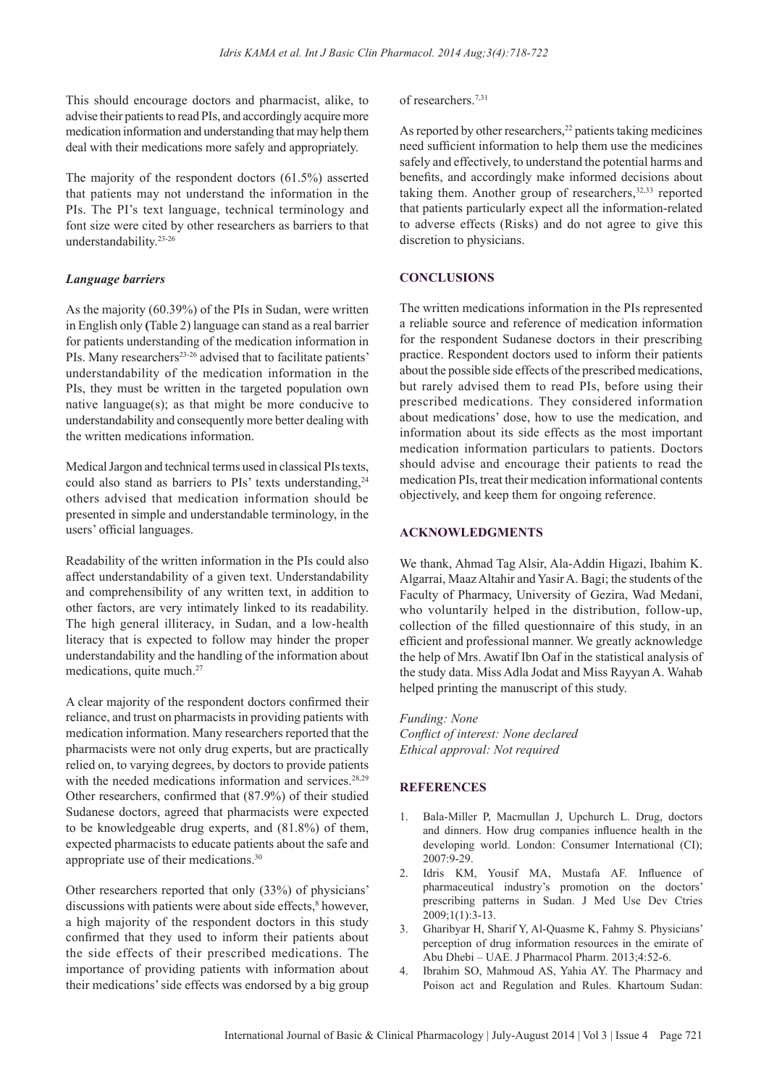This should encourage doctors and pharmacist, alike, to advise their patients to read PIs, and accordingly acquire more medication information and understanding that may help them deal with their medications more safely and appropriately.

The majority of the respondent doctors (61.5%) asserted that patients may not understand the information in the PIs. The PI's text language, technical terminology and font size were cited by other researchers as barriers to that understandability.23-26

#### *Language barriers*

As the majority (60.39%) of the PIs in Sudan, were written in English only **(**Table 2) language can stand as a real barrier for patients understanding of the medication information in PIs. Many researchers<sup>23-26</sup> advised that to facilitate patients' understandability of the medication information in the PIs, they must be written in the targeted population own native language(s); as that might be more conducive to understandability and consequently more better dealing with the written medications information.

Medical Jargon and technical terms used in classical PIs texts, could also stand as barriers to PIs' texts understanding.<sup>24</sup> others advised that medication information should be presented in simple and understandable terminology, in the users' official languages.

Readability of the written information in the PIs could also affect understandability of a given text. Understandability and comprehensibility of any written text, in addition to other factors, are very intimately linked to its readability. The high general illiteracy, in Sudan, and a low-health literacy that is expected to follow may hinder the proper understandability and the handling of the information about medications, quite much.27

A clear majority of the respondent doctors confirmed their reliance, and trust on pharmacists in providing patients with medication information. Many researchers reported that the pharmacists were not only drug experts, but are practically relied on, to varying degrees, by doctors to provide patients with the needed medications information and services.<sup>28,29</sup> Other researchers, confirmed that (87.9%) of their studied Sudanese doctors, agreed that pharmacists were expected to be knowledgeable drug experts, and (81.8%) of them, expected pharmacists to educate patients about the safe and appropriate use of their medications.30

Other researchers reported that only (33%) of physicians' discussions with patients were about side effects,<sup>8</sup> however, a high majority of the respondent doctors in this study confirmed that they used to inform their patients about the side effects of their prescribed medications. The importance of providing patients with information about their medications' side effects was endorsed by a big group

#### of researchers.<sup>7,31</sup>

As reported by other researchers,<sup>22</sup> patients taking medicines need sufficient information to help them use the medicines safely and effectively, to understand the potential harms and benefits, and accordingly make informed decisions about taking them. Another group of researchers, $32,33$  reported that patients particularly expect all the information-related to adverse effects (Risks) and do not agree to give this discretion to physicians.

#### **CONCLUSIONS**

The written medications information in the PIs represented a reliable source and reference of medication information for the respondent Sudanese doctors in their prescribing practice. Respondent doctors used to inform their patients about the possible side effects of the prescribed medications, but rarely advised them to read PIs, before using their prescribed medications. They considered information about medications' dose, how to use the medication, and information about its side effects as the most important medication information particulars to patients. Doctors should advise and encourage their patients to read the medication PIs, treat their medication informational contents objectively, and keep them for ongoing reference.

#### **ACKNOWLEDGMENTS**

We thank, Ahmad Tag Alsir, Ala-Addin Higazi, Ibahim K. Algarrai, Maaz Altahir and Yasir A. Bagi; the students of the Faculty of Pharmacy, University of Gezira, Wad Medani, who voluntarily helped in the distribution, follow-up, collection of the filled questionnaire of this study, in an efficient and professional manner. We greatly acknowledge the help of Mrs. Awatif Ibn Oaf in the statistical analysis of the study data. Miss Adla Jodat and Miss Rayyan A. Wahab helped printing the manuscript of this study.

*Funding: None Conflict of interest: None declared Ethical approval: Not required*

#### **REFERENCES**

- 1. Bala-Miller P, Macmullan J, Upchurch L. Drug, doctors and dinners. How drug companies influence health in the developing world. London: Consumer International (CI); 2007:9-29.
- 2. Idris KM, Yousif MA, Mustafa AF. Influence of pharmaceutical industry's promotion on the doctors' prescribing patterns in Sudan. J Med Use Dev Ctries 2009;1(1):3-13.
- 3. Gharibyar H, Sharif Y, Al-Quasme K, Fahmy S. Physicians' perception of drug information resources in the emirate of Abu Dhebi – UAE. J Pharmacol Pharm. 2013;4:52-6.
- 4. Ibrahim SO, Mahmoud AS, Yahia AY. The Pharmacy and Poison act and Regulation and Rules. Khartoum Sudan: